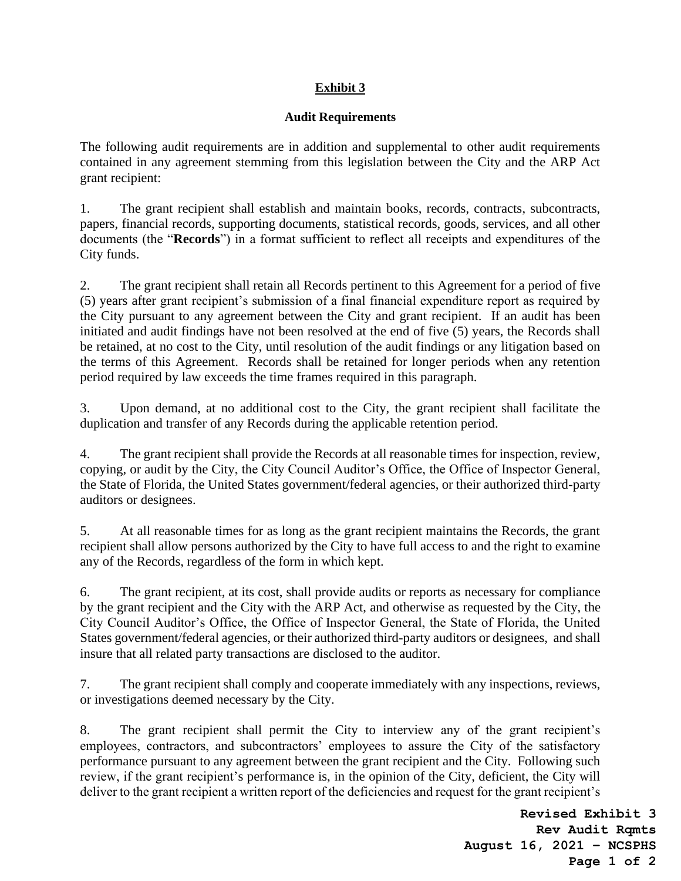## **Exhibit 3**

## **Audit Requirements**

The following audit requirements are in addition and supplemental to other audit requirements contained in any agreement stemming from this legislation between the City and the ARP Act grant recipient:

1. The grant recipient shall establish and maintain books, records, contracts, subcontracts, papers, financial records, supporting documents, statistical records, goods, services, and all other documents (the "**Records**") in a format sufficient to reflect all receipts and expenditures of the City funds.

2. The grant recipient shall retain all Records pertinent to this Agreement for a period of five (5) years after grant recipient's submission of a final financial expenditure report as required by the City pursuant to any agreement between the City and grant recipient. If an audit has been initiated and audit findings have not been resolved at the end of five (5) years, the Records shall be retained, at no cost to the City, until resolution of the audit findings or any litigation based on the terms of this Agreement. Records shall be retained for longer periods when any retention period required by law exceeds the time frames required in this paragraph.

3. Upon demand, at no additional cost to the City, the grant recipient shall facilitate the duplication and transfer of any Records during the applicable retention period.

4. The grant recipient shall provide the Records at all reasonable times for inspection, review, copying, or audit by the City, the City Council Auditor's Office, the Office of Inspector General, the State of Florida, the United States government/federal agencies, or their authorized third-party auditors or designees.

5. At all reasonable times for as long as the grant recipient maintains the Records, the grant recipient shall allow persons authorized by the City to have full access to and the right to examine any of the Records, regardless of the form in which kept.

6. The grant recipient, at its cost, shall provide audits or reports as necessary for compliance by the grant recipient and the City with the ARP Act, and otherwise as requested by the City, the City Council Auditor's Office, the Office of Inspector General, the State of Florida, the United States government/federal agencies, or their authorized third-party auditors or designees, and shall insure that all related party transactions are disclosed to the auditor.

7. The grant recipient shall comply and cooperate immediately with any inspections, reviews, or investigations deemed necessary by the City.

8. The grant recipient shall permit the City to interview any of the grant recipient's employees, contractors, and subcontractors' employees to assure the City of the satisfactory performance pursuant to any agreement between the grant recipient and the City. Following such review, if the grant recipient's performance is, in the opinion of the City, deficient, the City will deliver to the grant recipient a written report of the deficiencies and request for the grant recipient's

> **Revised Exhibit 3 Rev Audit Rqmts August 16, 2021 – NCSPHS Page 1 of 2**